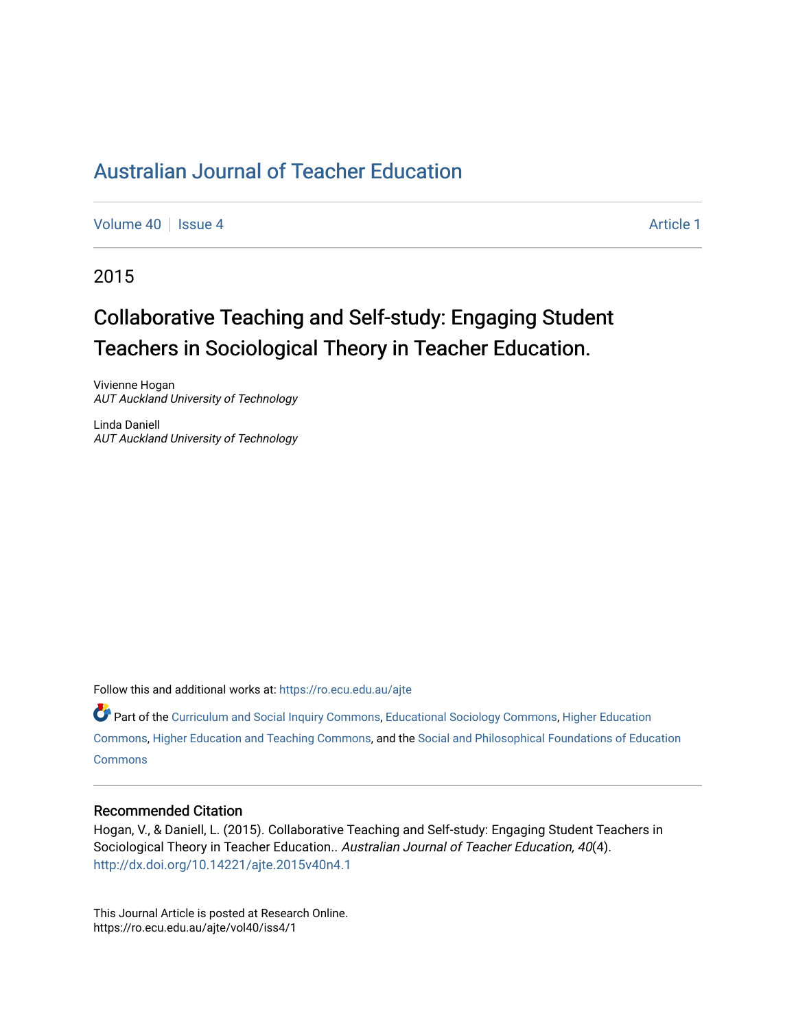[Volume 40](https://ro.ecu.edu.au/ajte/vol40) | [Issue 4](https://ro.ecu.edu.au/ajte/vol40/iss4) Article 1

2015

# Collaborative Teaching and Self-study: Engaging Student Teachers in Sociological Theory in Teacher Education.

Vivienne Hogan AUT Auckland University of Technology

Linda Daniell AUT Auckland University of Technology

Follow this and additional works at: [https://ro.ecu.edu.au/ajte](https://ro.ecu.edu.au/ajte?utm_source=ro.ecu.edu.au%2Fajte%2Fvol40%2Fiss4%2F1&utm_medium=PDF&utm_campaign=PDFCoverPages)  Part of the [Curriculum and Social Inquiry Commons,](http://network.bepress.com/hgg/discipline/1038?utm_source=ro.ecu.edu.au%2Fajte%2Fvol40%2Fiss4%2F1&utm_medium=PDF&utm_campaign=PDFCoverPages) [Educational Sociology Commons,](http://network.bepress.com/hgg/discipline/1071?utm_source=ro.ecu.edu.au%2Fajte%2Fvol40%2Fiss4%2F1&utm_medium=PDF&utm_campaign=PDFCoverPages) [Higher Education](http://network.bepress.com/hgg/discipline/1245?utm_source=ro.ecu.edu.au%2Fajte%2Fvol40%2Fiss4%2F1&utm_medium=PDF&utm_campaign=PDFCoverPages) [Commons,](http://network.bepress.com/hgg/discipline/1245?utm_source=ro.ecu.edu.au%2Fajte%2Fvol40%2Fiss4%2F1&utm_medium=PDF&utm_campaign=PDFCoverPages) [Higher Education and Teaching Commons,](http://network.bepress.com/hgg/discipline/806?utm_source=ro.ecu.edu.au%2Fajte%2Fvol40%2Fiss4%2F1&utm_medium=PDF&utm_campaign=PDFCoverPages) and the [Social and Philosophical Foundations of Education](http://network.bepress.com/hgg/discipline/799?utm_source=ro.ecu.edu.au%2Fajte%2Fvol40%2Fiss4%2F1&utm_medium=PDF&utm_campaign=PDFCoverPages) 

**Commons** 

#### Recommended Citation

Hogan, V., & Daniell, L. (2015). Collaborative Teaching and Self-study: Engaging Student Teachers in Sociological Theory in Teacher Education.. Australian Journal of Teacher Education, 40(4). <http://dx.doi.org/10.14221/ajte.2015v40n4.1>

This Journal Article is posted at Research Online. https://ro.ecu.edu.au/ajte/vol40/iss4/1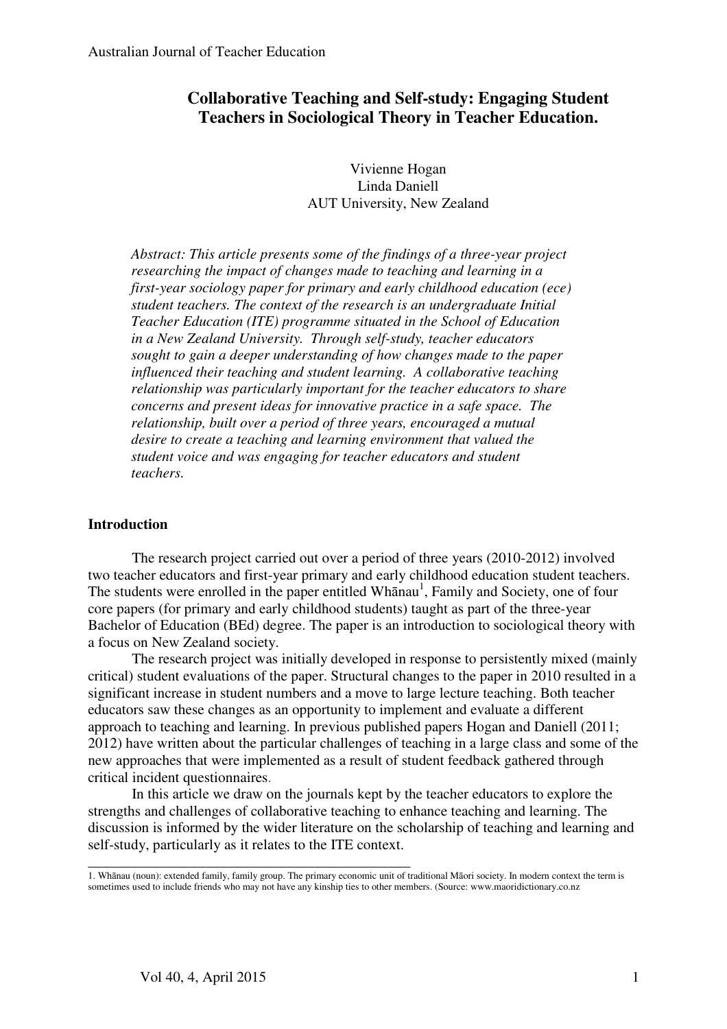## **Collaborative Teaching and Self-study: Engaging Student Teachers in Sociological Theory in Teacher Education.**

Vivienne Hogan Linda Daniell AUT University, New Zealand

*Abstract: This article presents some of the findings of a three-year project researching the impact of changes made to teaching and learning in a first-year sociology paper for primary and early childhood education (ece) student teachers. The context of the research is an undergraduate Initial Teacher Education (ITE) programme situated in the School of Education in a New Zealand University. Through self-study, teacher educators sought to gain a deeper understanding of how changes made to the paper influenced their teaching and student learning. A collaborative teaching relationship was particularly important for the teacher educators to share concerns and present ideas for innovative practice in a safe space. The relationship, built over a period of three years, encouraged a mutual desire to create a teaching and learning environment that valued the student voice and was engaging for teacher educators and student teachers.* 

#### **Introduction**

The research project carried out over a period of three years (2010-2012) involved two teacher educators and first-year primary and early childhood education student teachers. The students were enrolled in the paper entitled Whanau<sup>1</sup>, Family and Society, one of four core papers (for primary and early childhood students) taught as part of the three-year Bachelor of Education (BEd) degree. The paper is an introduction to sociological theory with a focus on New Zealand society.

The research project was initially developed in response to persistently mixed (mainly critical) student evaluations of the paper. Structural changes to the paper in 2010 resulted in a significant increase in student numbers and a move to large lecture teaching. Both teacher educators saw these changes as an opportunity to implement and evaluate a different approach to teaching and learning. In previous published papers Hogan and Daniell (2011; 2012) have written about the particular challenges of teaching in a large class and some of the new approaches that were implemented as a result of student feedback gathered through critical incident questionnaires.

In this article we draw on the journals kept by the teacher educators to explore the strengths and challenges of collaborative teaching to enhance teaching and learning. The discussion is informed by the wider literature on the scholarship of teaching and learning and self-study, particularly as it relates to the ITE context.

\_\_\_\_\_\_\_\_\_\_\_\_\_\_\_\_\_\_\_\_\_\_\_\_\_\_\_\_\_\_\_\_\_\_\_\_\_\_\_\_\_\_\_\_ 1. Whānau (noun): extended family, family group. The primary economic unit of traditional Māori society. In modern context the term is sometimes used to include friends who may not have any kinship ties to other members. (Source: www.maoridictionary.co.nz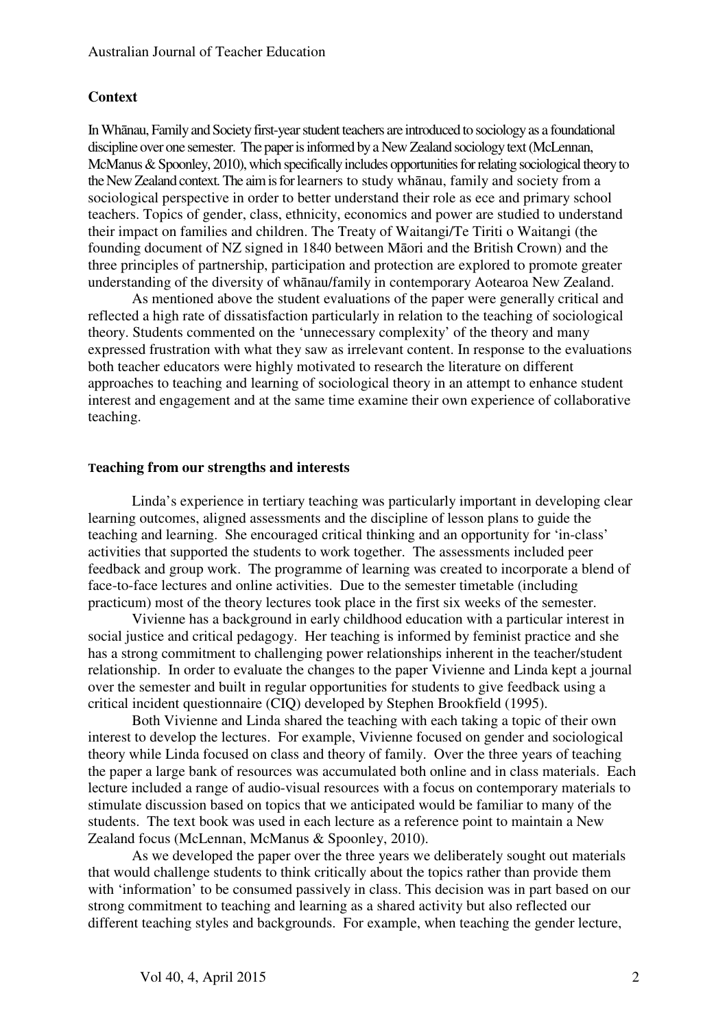#### **Context**

In Whānau, Family and Society first-year student teachers are introduced to sociology as a foundational discipline over one semester. The paper is informed by a New Zealand sociology text (McLennan, McManus & Spoonley, 2010), which specifically includes opportunities for relating sociological theory to the New Zealand context. The aim is for learners to study whānau, family and society from a sociological perspective in order to better understand their role as ece and primary school teachers. Topics of gender, class, ethnicity, economics and power are studied to understand their impact on families and children. The Treaty of Waitangi/Te Tiriti o Waitangi (the founding document of NZ signed in 1840 between Māori and the British Crown) and the three principles of partnership, participation and protection are explored to promote greater understanding of the diversity of whānau/family in contemporary Aotearoa New Zealand.

As mentioned above the student evaluations of the paper were generally critical and reflected a high rate of dissatisfaction particularly in relation to the teaching of sociological theory. Students commented on the 'unnecessary complexity' of the theory and many expressed frustration with what they saw as irrelevant content. In response to the evaluations both teacher educators were highly motivated to research the literature on different approaches to teaching and learning of sociological theory in an attempt to enhance student interest and engagement and at the same time examine their own experience of collaborative teaching.

#### **Teaching from our strengths and interests**

Linda's experience in tertiary teaching was particularly important in developing clear learning outcomes, aligned assessments and the discipline of lesson plans to guide the teaching and learning. She encouraged critical thinking and an opportunity for 'in-class' activities that supported the students to work together. The assessments included peer feedback and group work. The programme of learning was created to incorporate a blend of face-to-face lectures and online activities. Due to the semester timetable (including practicum) most of the theory lectures took place in the first six weeks of the semester.

Vivienne has a background in early childhood education with a particular interest in social justice and critical pedagogy. Her teaching is informed by feminist practice and she has a strong commitment to challenging power relationships inherent in the teacher/student relationship. In order to evaluate the changes to the paper Vivienne and Linda kept a journal over the semester and built in regular opportunities for students to give feedback using a critical incident questionnaire (CIQ) developed by Stephen Brookfield (1995).

Both Vivienne and Linda shared the teaching with each taking a topic of their own interest to develop the lectures. For example, Vivienne focused on gender and sociological theory while Linda focused on class and theory of family. Over the three years of teaching the paper a large bank of resources was accumulated both online and in class materials. Each lecture included a range of audio-visual resources with a focus on contemporary materials to stimulate discussion based on topics that we anticipated would be familiar to many of the students. The text book was used in each lecture as a reference point to maintain a New Zealand focus (McLennan, McManus & Spoonley, 2010).

As we developed the paper over the three years we deliberately sought out materials that would challenge students to think critically about the topics rather than provide them with 'information' to be consumed passively in class. This decision was in part based on our strong commitment to teaching and learning as a shared activity but also reflected our different teaching styles and backgrounds. For example, when teaching the gender lecture,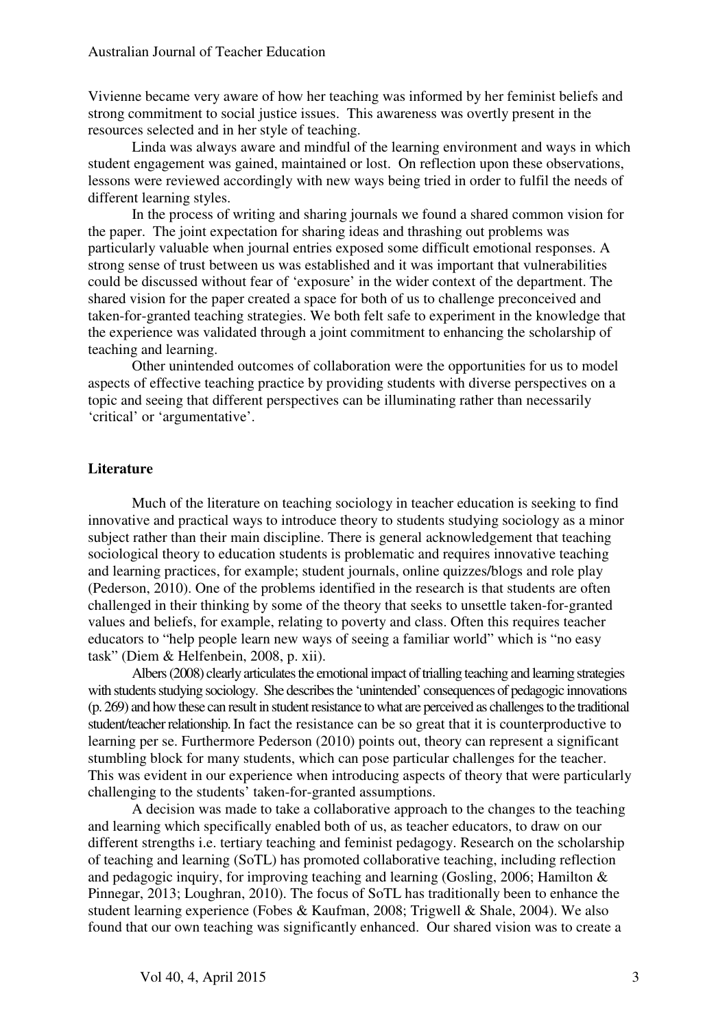Vivienne became very aware of how her teaching was informed by her feminist beliefs and strong commitment to social justice issues. This awareness was overtly present in the resources selected and in her style of teaching.

Linda was always aware and mindful of the learning environment and ways in which student engagement was gained, maintained or lost. On reflection upon these observations, lessons were reviewed accordingly with new ways being tried in order to fulfil the needs of different learning styles.

In the process of writing and sharing journals we found a shared common vision for the paper. The joint expectation for sharing ideas and thrashing out problems was particularly valuable when journal entries exposed some difficult emotional responses. A strong sense of trust between us was established and it was important that vulnerabilities could be discussed without fear of 'exposure' in the wider context of the department. The shared vision for the paper created a space for both of us to challenge preconceived and taken-for-granted teaching strategies. We both felt safe to experiment in the knowledge that the experience was validated through a joint commitment to enhancing the scholarship of teaching and learning.

Other unintended outcomes of collaboration were the opportunities for us to model aspects of effective teaching practice by providing students with diverse perspectives on a topic and seeing that different perspectives can be illuminating rather than necessarily 'critical' or 'argumentative'.

#### **Literature**

Much of the literature on teaching sociology in teacher education is seeking to find innovative and practical ways to introduce theory to students studying sociology as a minor subject rather than their main discipline. There is general acknowledgement that teaching sociological theory to education students is problematic and requires innovative teaching and learning practices, for example; student journals, online quizzes/blogs and role play (Pederson, 2010). One of the problems identified in the research is that students are often challenged in their thinking by some of the theory that seeks to unsettle taken-for-granted values and beliefs, for example, relating to poverty and class. Often this requires teacher educators to "help people learn new ways of seeing a familiar world" which is "no easy task" (Diem & Helfenbein, 2008, p. xii).

Albers (2008) clearly articulates the emotional impact of trialling teaching and learning strategies with students studying sociology. She describes the 'unintended' consequences of pedagogic innovations (p. 269) and how these can result in student resistance to what are perceived as challenges to the traditional student/teacher relationship. In fact the resistance can be so great that it is counterproductive to learning per se. Furthermore Pederson (2010) points out, theory can represent a significant stumbling block for many students, which can pose particular challenges for the teacher. This was evident in our experience when introducing aspects of theory that were particularly challenging to the students' taken-for-granted assumptions.

A decision was made to take a collaborative approach to the changes to the teaching and learning which specifically enabled both of us, as teacher educators, to draw on our different strengths i.e. tertiary teaching and feminist pedagogy. Research on the scholarship of teaching and learning (SoTL) has promoted collaborative teaching, including reflection and pedagogic inquiry, for improving teaching and learning (Gosling, 2006; Hamilton & Pinnegar, 2013; Loughran, 2010). The focus of SoTL has traditionally been to enhance the student learning experience (Fobes & Kaufman, 2008; Trigwell & Shale, 2004). We also found that our own teaching was significantly enhanced. Our shared vision was to create a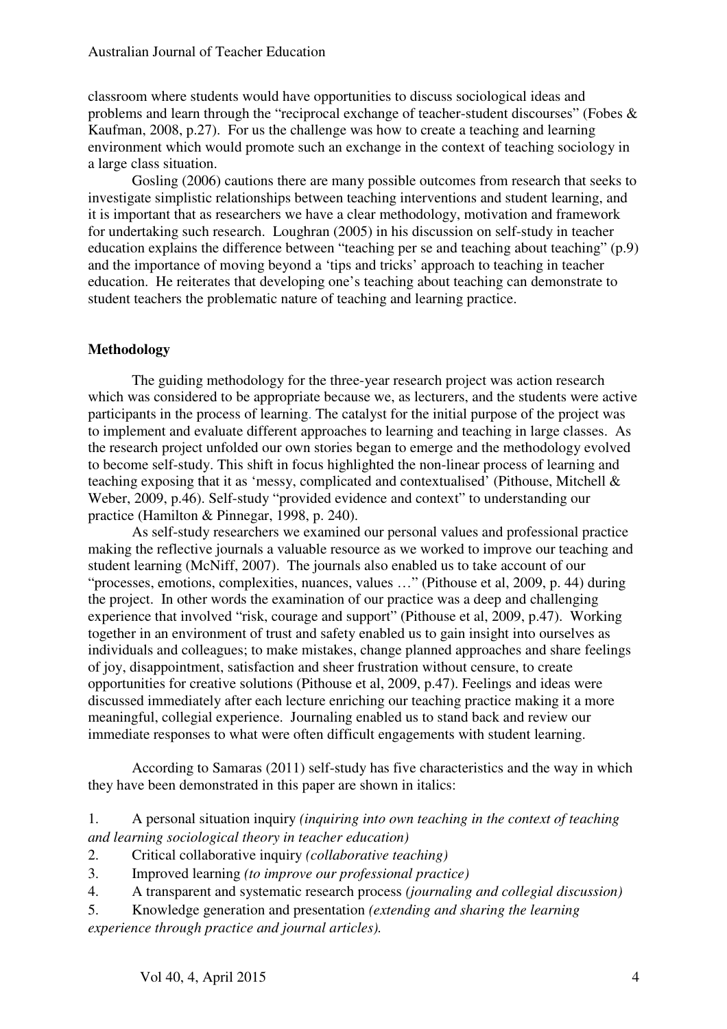classroom where students would have opportunities to discuss sociological ideas and problems and learn through the "reciprocal exchange of teacher-student discourses" (Fobes & Kaufman, 2008, p.27). For us the challenge was how to create a teaching and learning environment which would promote such an exchange in the context of teaching sociology in a large class situation.

Gosling (2006) cautions there are many possible outcomes from research that seeks to investigate simplistic relationships between teaching interventions and student learning, and it is important that as researchers we have a clear methodology, motivation and framework for undertaking such research. Loughran (2005) in his discussion on self-study in teacher education explains the difference between "teaching per se and teaching about teaching" (p.9) and the importance of moving beyond a 'tips and tricks' approach to teaching in teacher education. He reiterates that developing one's teaching about teaching can demonstrate to student teachers the problematic nature of teaching and learning practice.

### **Methodology**

The guiding methodology for the three-year research project was action research which was considered to be appropriate because we, as lecturers, and the students were active participants in the process of learning. The catalyst for the initial purpose of the project was to implement and evaluate different approaches to learning and teaching in large classes. As the research project unfolded our own stories began to emerge and the methodology evolved to become self-study. This shift in focus highlighted the non-linear process of learning and teaching exposing that it as 'messy, complicated and contextualised' (Pithouse, Mitchell & Weber, 2009, p.46). Self-study "provided evidence and context" to understanding our practice (Hamilton & Pinnegar, 1998, p. 240).

As self-study researchers we examined our personal values and professional practice making the reflective journals a valuable resource as we worked to improve our teaching and student learning (McNiff, 2007). The journals also enabled us to take account of our "processes, emotions, complexities, nuances, values …" (Pithouse et al, 2009, p. 44) during the project. In other words the examination of our practice was a deep and challenging experience that involved "risk, courage and support" (Pithouse et al, 2009, p.47). Working together in an environment of trust and safety enabled us to gain insight into ourselves as individuals and colleagues; to make mistakes, change planned approaches and share feelings of joy, disappointment, satisfaction and sheer frustration without censure, to create opportunities for creative solutions (Pithouse et al, 2009, p.47). Feelings and ideas were discussed immediately after each lecture enriching our teaching practice making it a more meaningful, collegial experience. Journaling enabled us to stand back and review our immediate responses to what were often difficult engagements with student learning.

According to Samaras (2011) self-study has five characteristics and the way in which they have been demonstrated in this paper are shown in italics:

- 2. Critical collaborative inquiry *(collaborative teaching)*
- 3. Improved learning *(to improve our professional practice)*
- 4. A transparent and systematic research process *(journaling and collegial discussion)*
- 5. Knowledge generation and presentation *(extending and sharing the learning experience through practice and journal articles).*

<sup>1.</sup> A personal situation inquiry *(inquiring into own teaching in the context of teaching and learning sociological theory in teacher education)*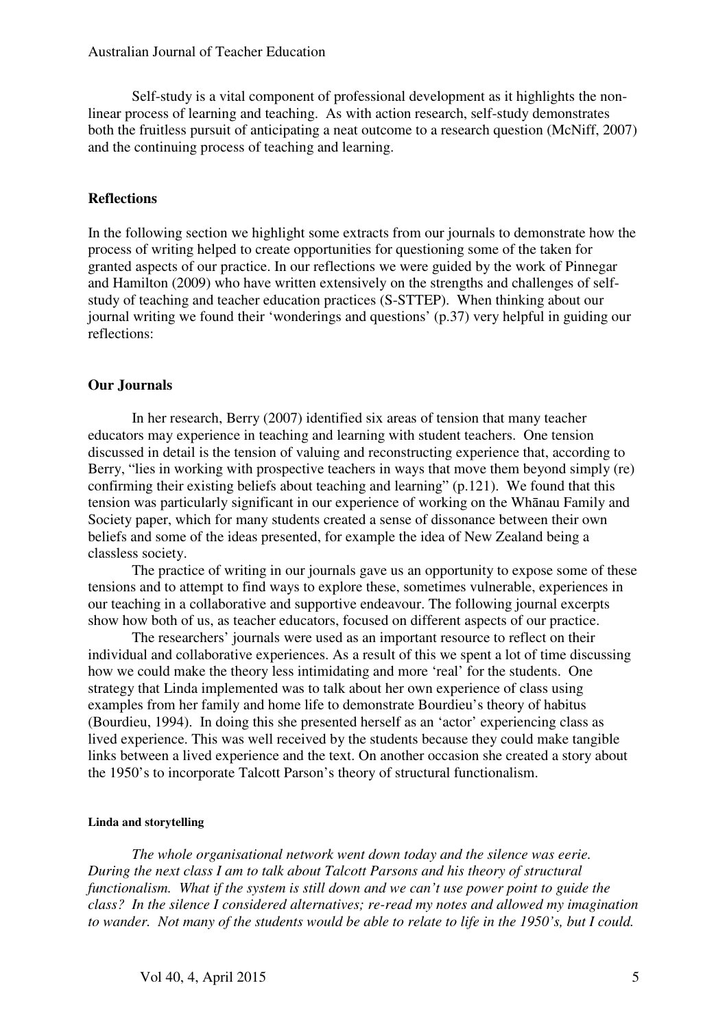Self-study is a vital component of professional development as it highlights the nonlinear process of learning and teaching. As with action research, self-study demonstrates both the fruitless pursuit of anticipating a neat outcome to a research question (McNiff, 2007) and the continuing process of teaching and learning.

#### **Reflections**

In the following section we highlight some extracts from our journals to demonstrate how the process of writing helped to create opportunities for questioning some of the taken for granted aspects of our practice. In our reflections we were guided by the work of Pinnegar and Hamilton (2009) who have written extensively on the strengths and challenges of selfstudy of teaching and teacher education practices (S-STTEP). When thinking about our journal writing we found their 'wonderings and questions' (p.37) very helpful in guiding our reflections:

#### **Our Journals**

In her research, Berry (2007) identified six areas of tension that many teacher educators may experience in teaching and learning with student teachers. One tension discussed in detail is the tension of valuing and reconstructing experience that, according to Berry, "lies in working with prospective teachers in ways that move them beyond simply (re) confirming their existing beliefs about teaching and learning" (p.121). We found that this tension was particularly significant in our experience of working on the Whānau Family and Society paper, which for many students created a sense of dissonance between their own beliefs and some of the ideas presented, for example the idea of New Zealand being a classless society.

The practice of writing in our journals gave us an opportunity to expose some of these tensions and to attempt to find ways to explore these, sometimes vulnerable, experiences in our teaching in a collaborative and supportive endeavour. The following journal excerpts show how both of us, as teacher educators, focused on different aspects of our practice.

The researchers' journals were used as an important resource to reflect on their individual and collaborative experiences. As a result of this we spent a lot of time discussing how we could make the theory less intimidating and more 'real' for the students. One strategy that Linda implemented was to talk about her own experience of class using examples from her family and home life to demonstrate Bourdieu's theory of habitus (Bourdieu, 1994). In doing this she presented herself as an 'actor' experiencing class as lived experience. This was well received by the students because they could make tangible links between a lived experience and the text. On another occasion she created a story about the 1950's to incorporate Talcott Parson's theory of structural functionalism.

#### **Linda and storytelling**

 *The whole organisational network went down today and the silence was eerie. During the next class I am to talk about Talcott Parsons and his theory of structural functionalism. What if the system is still down and we can't use power point to guide the class? In the silence I considered alternatives; re-read my notes and allowed my imagination to wander. Not many of the students would be able to relate to life in the 1950's, but I could.*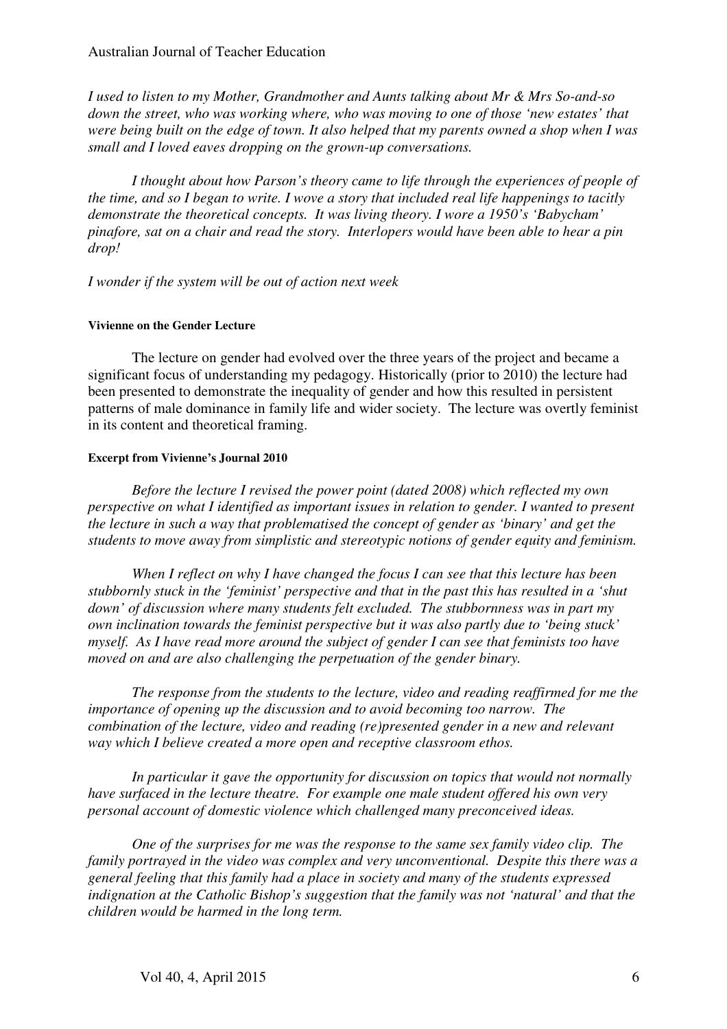*I used to listen to my Mother, Grandmother and Aunts talking about Mr & Mrs So-and-so down the street, who was working where, who was moving to one of those 'new estates' that were being built on the edge of town. It also helped that my parents owned a shop when I was small and I loved eaves dropping on the grown-up conversations.* 

 *I thought about how Parson's theory came to life through the experiences of people of the time, and so I began to write. I wove a story that included real life happenings to tacitly demonstrate the theoretical concepts. It was living theory. I wore a 1950's 'Babycham' pinafore, sat on a chair and read the story. Interlopers would have been able to hear a pin drop!* 

 *I wonder if the system will be out of action next week* 

#### **Vivienne on the Gender Lecture**

The lecture on gender had evolved over the three years of the project and became a significant focus of understanding my pedagogy. Historically (prior to 2010) the lecture had been presented to demonstrate the inequality of gender and how this resulted in persistent patterns of male dominance in family life and wider society. The lecture was overtly feminist in its content and theoretical framing.

#### **Excerpt from Vivienne's Journal 2010**

*Before the lecture I revised the power point (dated 2008) which reflected my own perspective on what I identified as important issues in relation to gender. I wanted to present the lecture in such a way that problematised the concept of gender as 'binary' and get the students to move away from simplistic and stereotypic notions of gender equity and feminism.* 

*When I reflect on why I have changed the focus I can see that this lecture has been stubbornly stuck in the 'feminist' perspective and that in the past this has resulted in a 'shut down' of discussion where many students felt excluded. The stubbornness was in part my own inclination towards the feminist perspective but it was also partly due to 'being stuck' myself. As I have read more around the subject of gender I can see that feminists too have moved on and are also challenging the perpetuation of the gender binary.* 

*The response from the students to the lecture, video and reading reaffirmed for me the importance of opening up the discussion and to avoid becoming too narrow. The combination of the lecture, video and reading (re)presented gender in a new and relevant way which I believe created a more open and receptive classroom ethos.* 

*In particular it gave the opportunity for discussion on topics that would not normally have surfaced in the lecture theatre. For example one male student offered his own very personal account of domestic violence which challenged many preconceived ideas.* 

*One of the surprises for me was the response to the same sex family video clip. The family portrayed in the video was complex and very unconventional. Despite this there was a general feeling that this family had a place in society and many of the students expressed indignation at the Catholic Bishop's suggestion that the family was not 'natural' and that the children would be harmed in the long term.*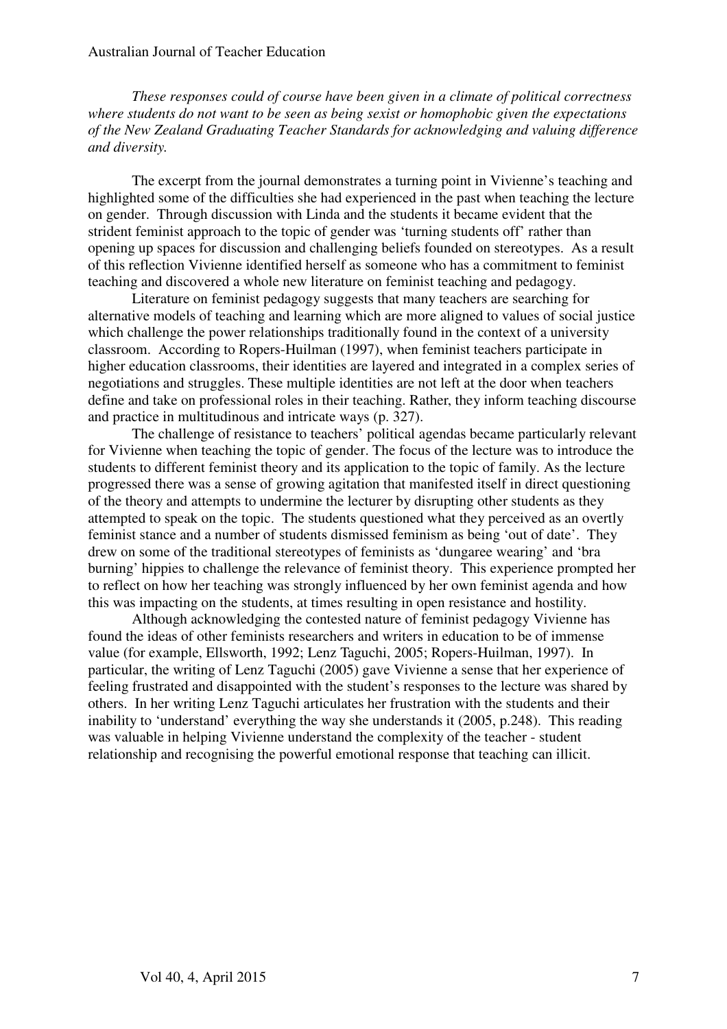*These responses could of course have been given in a climate of political correctness where students do not want to be seen as being sexist or homophobic given the expectations of the New Zealand Graduating Teacher Standards for acknowledging and valuing difference and diversity.* 

The excerpt from the journal demonstrates a turning point in Vivienne's teaching and highlighted some of the difficulties she had experienced in the past when teaching the lecture on gender. Through discussion with Linda and the students it became evident that the strident feminist approach to the topic of gender was 'turning students off' rather than opening up spaces for discussion and challenging beliefs founded on stereotypes. As a result of this reflection Vivienne identified herself as someone who has a commitment to feminist teaching and discovered a whole new literature on feminist teaching and pedagogy.

Literature on feminist pedagogy suggests that many teachers are searching for alternative models of teaching and learning which are more aligned to values of social justice which challenge the power relationships traditionally found in the context of a university classroom. According to Ropers-Huilman (1997), when feminist teachers participate in higher education classrooms, their identities are layered and integrated in a complex series of negotiations and struggles. These multiple identities are not left at the door when teachers define and take on professional roles in their teaching. Rather, they inform teaching discourse and practice in multitudinous and intricate ways (p. 327).

The challenge of resistance to teachers' political agendas became particularly relevant for Vivienne when teaching the topic of gender. The focus of the lecture was to introduce the students to different feminist theory and its application to the topic of family. As the lecture progressed there was a sense of growing agitation that manifested itself in direct questioning of the theory and attempts to undermine the lecturer by disrupting other students as they attempted to speak on the topic. The students questioned what they perceived as an overtly feminist stance and a number of students dismissed feminism as being 'out of date'. They drew on some of the traditional stereotypes of feminists as 'dungaree wearing' and 'bra burning' hippies to challenge the relevance of feminist theory. This experience prompted her to reflect on how her teaching was strongly influenced by her own feminist agenda and how this was impacting on the students, at times resulting in open resistance and hostility.

Although acknowledging the contested nature of feminist pedagogy Vivienne has found the ideas of other feminists researchers and writers in education to be of immense value (for example, Ellsworth, 1992; Lenz Taguchi, 2005; Ropers-Huilman, 1997). In particular, the writing of Lenz Taguchi (2005) gave Vivienne a sense that her experience of feeling frustrated and disappointed with the student's responses to the lecture was shared by others. In her writing Lenz Taguchi articulates her frustration with the students and their inability to 'understand' everything the way she understands it (2005, p.248). This reading was valuable in helping Vivienne understand the complexity of the teacher - student relationship and recognising the powerful emotional response that teaching can illicit.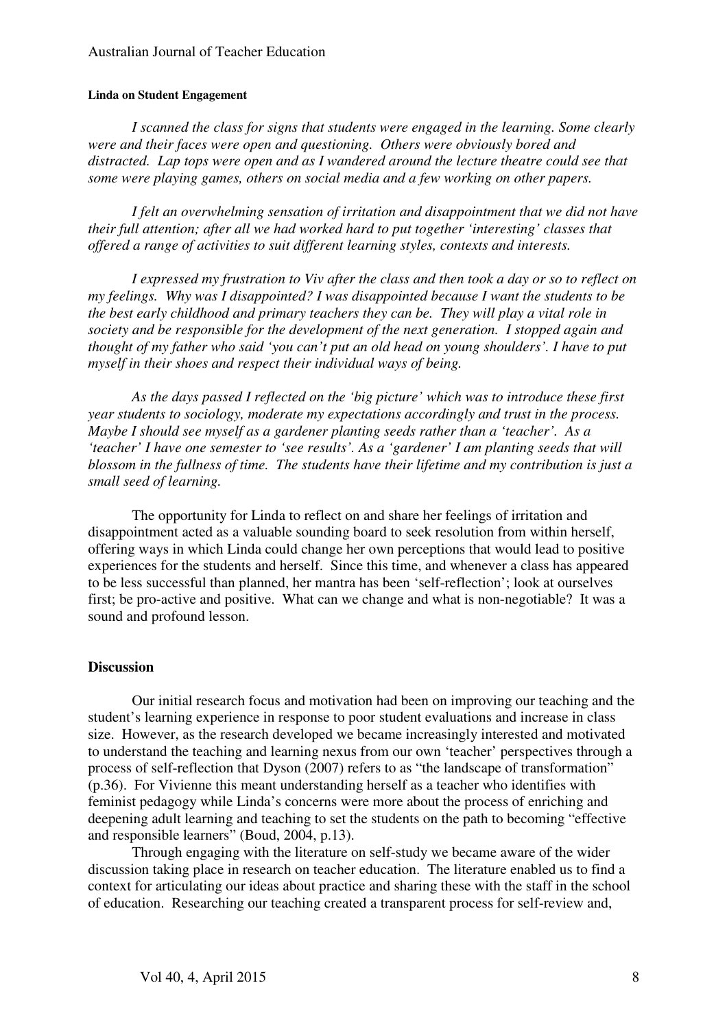#### **Linda on Student Engagement**

*I scanned the class for signs that students were engaged in the learning. Some clearly were and their faces were open and questioning. Others were obviously bored and distracted. Lap tops were open and as I wandered around the lecture theatre could see that some were playing games, others on social media and a few working on other papers.* 

*I felt an overwhelming sensation of irritation and disappointment that we did not have their full attention; after all we had worked hard to put together 'interesting' classes that offered a range of activities to suit different learning styles, contexts and interests.* 

*I expressed my frustration to Viv after the class and then took a day or so to reflect on my feelings. Why was I disappointed? I was disappointed because I want the students to be the best early childhood and primary teachers they can be. They will play a vital role in society and be responsible for the development of the next generation. I stopped again and thought of my father who said 'you can't put an old head on young shoulders'. I have to put myself in their shoes and respect their individual ways of being.* 

*As the days passed I reflected on the 'big picture' which was to introduce these first year students to sociology, moderate my expectations accordingly and trust in the process. Maybe I should see myself as a gardener planting seeds rather than a 'teacher'. As a 'teacher' I have one semester to 'see results'. As a 'gardener' I am planting seeds that will blossom in the fullness of time. The students have their lifetime and my contribution is just a small seed of learning.* 

The opportunity for Linda to reflect on and share her feelings of irritation and disappointment acted as a valuable sounding board to seek resolution from within herself, offering ways in which Linda could change her own perceptions that would lead to positive experiences for the students and herself. Since this time, and whenever a class has appeared to be less successful than planned, her mantra has been 'self-reflection'; look at ourselves first; be pro-active and positive. What can we change and what is non-negotiable? It was a sound and profound lesson.

#### **Discussion**

Our initial research focus and motivation had been on improving our teaching and the student's learning experience in response to poor student evaluations and increase in class size. However, as the research developed we became increasingly interested and motivated to understand the teaching and learning nexus from our own 'teacher' perspectives through a process of self-reflection that Dyson (2007) refers to as "the landscape of transformation" (p.36). For Vivienne this meant understanding herself as a teacher who identifies with feminist pedagogy while Linda's concerns were more about the process of enriching and deepening adult learning and teaching to set the students on the path to becoming "effective and responsible learners" (Boud, 2004, p.13).

Through engaging with the literature on self-study we became aware of the wider discussion taking place in research on teacher education. The literature enabled us to find a context for articulating our ideas about practice and sharing these with the staff in the school of education. Researching our teaching created a transparent process for self-review and,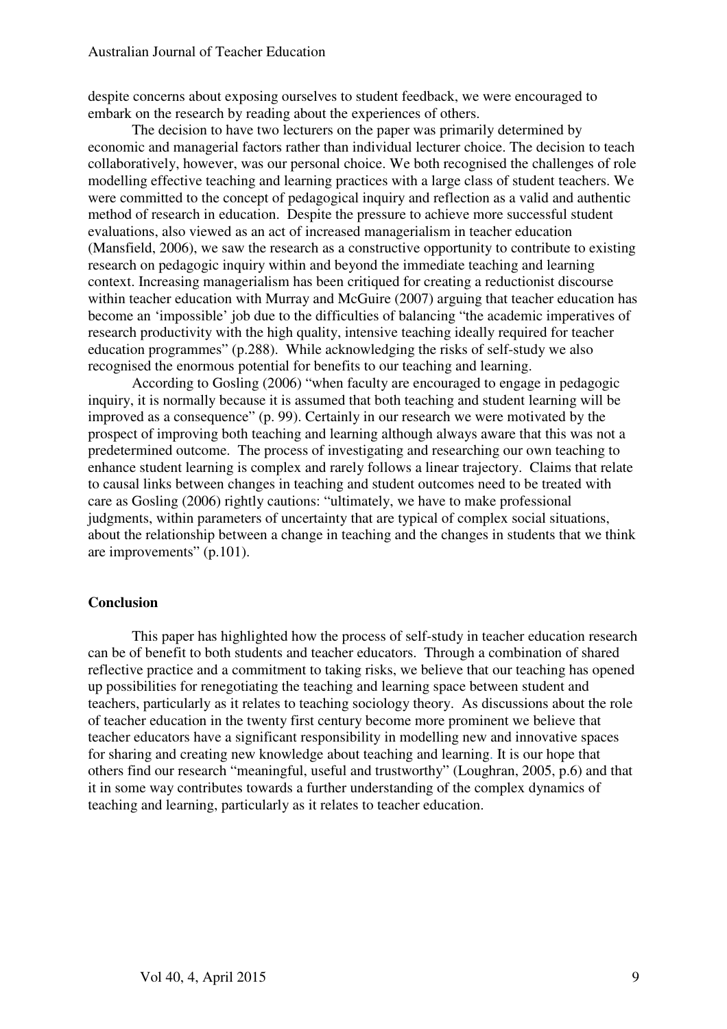despite concerns about exposing ourselves to student feedback, we were encouraged to embark on the research by reading about the experiences of others.

The decision to have two lecturers on the paper was primarily determined by economic and managerial factors rather than individual lecturer choice. The decision to teach collaboratively, however, was our personal choice. We both recognised the challenges of role modelling effective teaching and learning practices with a large class of student teachers. We were committed to the concept of pedagogical inquiry and reflection as a valid and authentic method of research in education. Despite the pressure to achieve more successful student evaluations, also viewed as an act of increased managerialism in teacher education (Mansfield, 2006), we saw the research as a constructive opportunity to contribute to existing research on pedagogic inquiry within and beyond the immediate teaching and learning context. Increasing managerialism has been critiqued for creating a reductionist discourse within teacher education with Murray and McGuire (2007) arguing that teacher education has become an 'impossible' job due to the difficulties of balancing "the academic imperatives of research productivity with the high quality, intensive teaching ideally required for teacher education programmes" (p.288). While acknowledging the risks of self-study we also recognised the enormous potential for benefits to our teaching and learning.

According to Gosling (2006) "when faculty are encouraged to engage in pedagogic inquiry, it is normally because it is assumed that both teaching and student learning will be improved as a consequence" (p. 99). Certainly in our research we were motivated by the prospect of improving both teaching and learning although always aware that this was not a predetermined outcome. The process of investigating and researching our own teaching to enhance student learning is complex and rarely follows a linear trajectory. Claims that relate to causal links between changes in teaching and student outcomes need to be treated with care as Gosling (2006) rightly cautions: "ultimately, we have to make professional judgments, within parameters of uncertainty that are typical of complex social situations, about the relationship between a change in teaching and the changes in students that we think are improvements" (p.101).

#### **Conclusion**

This paper has highlighted how the process of self-study in teacher education research can be of benefit to both students and teacher educators. Through a combination of shared reflective practice and a commitment to taking risks, we believe that our teaching has opened up possibilities for renegotiating the teaching and learning space between student and teachers, particularly as it relates to teaching sociology theory. As discussions about the role of teacher education in the twenty first century become more prominent we believe that teacher educators have a significant responsibility in modelling new and innovative spaces for sharing and creating new knowledge about teaching and learning. It is our hope that others find our research "meaningful, useful and trustworthy" (Loughran, 2005, p.6) and that it in some way contributes towards a further understanding of the complex dynamics of teaching and learning, particularly as it relates to teacher education.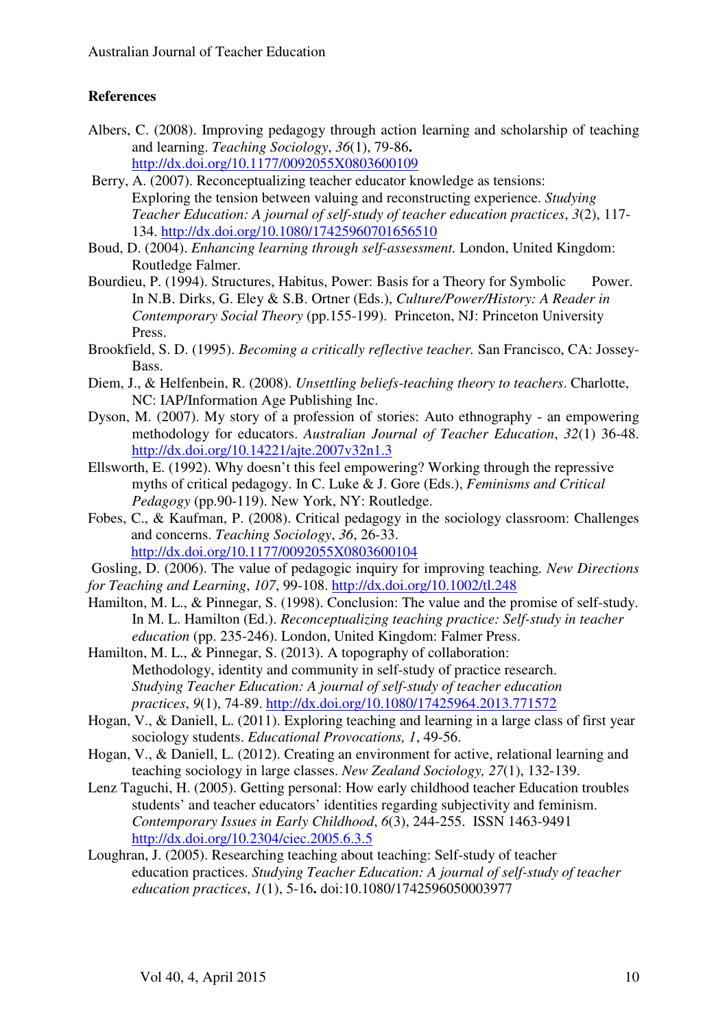## **References**

- Albers, C. (2008). Improving pedagogy through action learning and scholarship of teaching and learning. *Teaching Sociology*, *36*(1), 79-86**.**  http://dx.doi.org/10.1177/0092055X0803600109
- Berry, A. (2007). Reconceptualizing teacher educator knowledge as tensions: Exploring the tension between valuing and reconstructing experience. *Studying Teacher Education: A journal of self-study of teacher education practices*, *3*(2), 117- 134. http://dx.doi.org/10.1080/17425960701656510
- Boud, D. (2004). *Enhancing learning through self-assessment.* London, United Kingdom: Routledge Falmer.
- Bourdieu, P. (1994). Structures, Habitus, Power: Basis for a Theory for Symbolic Power. In N.B. Dirks, G. Eley & S.B. Ortner (Eds.), *Culture/Power/History: A Reader in Contemporary Social Theory* (pp.155-199). Princeton, NJ: Princeton University Press.
- Brookfield, S. D. (1995). *Becoming a critically reflective teacher.* San Francisco, CA: Jossey-Bass.
- Diem, J., & Helfenbein, R. (2008). *Unsettling beliefs-teaching theory to teachers*. Charlotte, NC: IAP/Information Age Publishing Inc.
- Dyson, M. (2007). My story of a profession of stories: Auto ethnography an empowering methodology for educators. *Australian Journal of Teacher Education*, *32*(1) 36-48. http://dx.doi.org/10.14221/ajte.2007v32n1.3
- Ellsworth, E. (1992). Why doesn't this feel empowering? Working through the repressive myths of critical pedagogy. In C. Luke & J. Gore (Eds.), *Feminisms and Critical Pedagogy* (pp.90-119). New York, NY: Routledge.
- Fobes, C., & Kaufman, P. (2008). Critical pedagogy in the sociology classroom: Challenges and concerns. *Teaching Sociology*, *36*, 26-33. http://dx.doi.org/10.1177/0092055X0803600104
- Gosling, D. (2006). The value of pedagogic inquiry for improving teaching*. New Directions for Teaching and Learning*, *107*, 99-108. http://dx.doi.org/10.1002/tl.248
- Hamilton, M. L., & Pinnegar, S. (1998). Conclusion: The value and the promise of self-study. In M. L. Hamilton (Ed.). *Reconceptualizing teaching practice: Self-study in teacher education* (pp. 235-246). London, United Kingdom: Falmer Press.

Hamilton, M. L., & Pinnegar, S. (2013). A topography of collaboration: Methodology, identity and community in self-study of practice research. *Studying Teacher Education: A journal of self-study of teacher education practices*, *9*(1), 74-89. http://dx.doi.org/10.1080/17425964.2013.771572

Hogan, V., & Daniell, L. (2011). Exploring teaching and learning in a large class of first year sociology students. *Educational Provocations, 1*, 49-56.

- Hogan, V., & Daniell, L. (2012). Creating an environment for active, relational learning and teaching sociology in large classes. *New Zealand Sociology, 27*(1), 132-139.
- Lenz Taguchi, H. (2005). Getting personal: How early childhood teacher Education troubles students' and teacher educators' identities regarding subjectivity and feminism. *Contemporary Issues in Early Childhood*, *6*(3), 244-255. ISSN 1463-9491 http://dx.doi.org/10.2304/ciec.2005.6.3.5
- Loughran, J. (2005). Researching teaching about teaching: Self-study of teacher education practices. *Studying Teacher Education: A journal of self-study of teacher education practices*, *1*(1), 5-16**.** doi:10.1080/1742596050003977